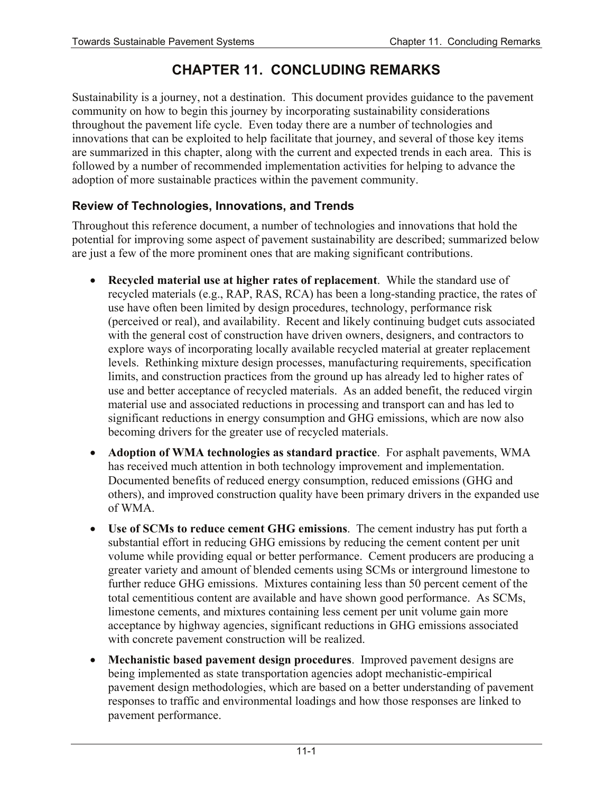## **CHAPTER 11. CONCLUDING REMARKS**

Sustainability is a journey, not a destination. This document provides guidance to the pavement community on how to begin this journey by incorporating sustainability considerations throughout the pavement life cycle. Even today there are a number of technologies and innovations that can be exploited to help facilitate that journey, and several of those key items are summarized in this chapter, along with the current and expected trends in each area. This is followed by a number of recommended implementation activities for helping to advance the adoption of more sustainable practices within the pavement community.

## **Review of Technologies, Innovations, and Trends**

Throughout this reference document, a number of technologies and innovations that hold the potential for improving some aspect of pavement sustainability are described; summarized below are just a few of the more prominent ones that are making significant contributions.

- **Recycled material use at higher rates of replacement**. While the standard use of recycled materials (e.g., RAP, RAS, RCA) has been a long-standing practice, the rates of use have often been limited by design procedures, technology, performance risk (perceived or real), and availability. Recent and likely continuing budget cuts associated with the general cost of construction have driven owners, designers, and contractors to explore ways of incorporating locally available recycled material at greater replacement levels. Rethinking mixture design processes, manufacturing requirements, specification limits, and construction practices from the ground up has already led to higher rates of use and better acceptance of recycled materials. As an added benefit, the reduced virgin material use and associated reductions in processing and transport can and has led to significant reductions in energy consumption and GHG emissions, which are now also becoming drivers for the greater use of recycled materials.
- **Adoption of WMA technologies as standard practice**. For asphalt pavements, WMA has received much attention in both technology improvement and implementation. Documented benefits of reduced energy consumption, reduced emissions (GHG and others), and improved construction quality have been primary drivers in the expanded use of WMA.
- **Use of SCMs to reduce cement GHG emissions**. The cement industry has put forth a substantial effort in reducing GHG emissions by reducing the cement content per unit volume while providing equal or better performance. Cement producers are producing a greater variety and amount of blended cements using SCMs or interground limestone to further reduce GHG emissions. Mixtures containing less than 50 percent cement of the total cementitious content are available and have shown good performance. As SCMs, limestone cements, and mixtures containing less cement per unit volume gain more acceptance by highway agencies, significant reductions in GHG emissions associated with concrete pavement construction will be realized.
- **Mechanistic based pavement design procedures**. Improved pavement designs are being implemented as state transportation agencies adopt mechanistic-empirical pavement design methodologies, which are based on a better understanding of pavement responses to traffic and environmental loadings and how those responses are linked to pavement performance.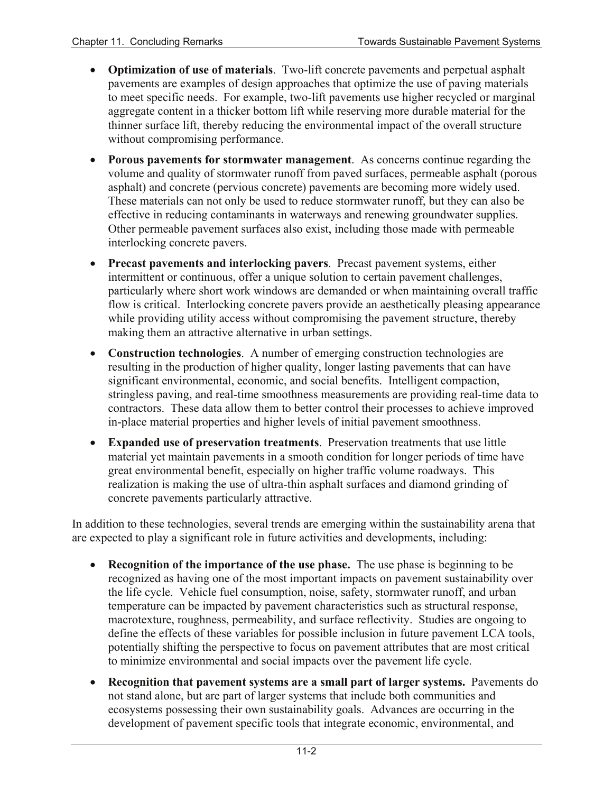- **Optimization of use of materials**. Two-lift concrete pavements and perpetual asphalt pavements are examples of design approaches that optimize the use of paving materials to meet specific needs. For example, two-lift pavements use higher recycled or marginal aggregate content in a thicker bottom lift while reserving more durable material for the thinner surface lift, thereby reducing the environmental impact of the overall structure without compromising performance.
- **Porous pavements for stormwater management**. As concerns continue regarding the volume and quality of stormwater runoff from paved surfaces, permeable asphalt (porous asphalt) and concrete (pervious concrete) pavements are becoming more widely used. These materials can not only be used to reduce stormwater runoff, but they can also be effective in reducing contaminants in waterways and renewing groundwater supplies. Other permeable pavement surfaces also exist, including those made with permeable interlocking concrete pavers.
- **Precast pavements and interlocking pavers**. Precast pavement systems, either intermittent or continuous, offer a unique solution to certain pavement challenges, particularly where short work windows are demanded or when maintaining overall traffic flow is critical. Interlocking concrete pavers provide an aesthetically pleasing appearance while providing utility access without compromising the pavement structure, thereby making them an attractive alternative in urban settings.
- **Construction technologies**. A number of emerging construction technologies are resulting in the production of higher quality, longer lasting pavements that can have significant environmental, economic, and social benefits. Intelligent compaction, stringless paving, and real-time smoothness measurements are providing real-time data to contractors. These data allow them to better control their processes to achieve improved in-place material properties and higher levels of initial pavement smoothness.
- **Expanded use of preservation treatments**. Preservation treatments that use little material yet maintain pavements in a smooth condition for longer periods of time have great environmental benefit, especially on higher traffic volume roadways. This realization is making the use of ultra-thin asphalt surfaces and diamond grinding of concrete pavements particularly attractive.

In addition to these technologies, several trends are emerging within the sustainability arena that are expected to play a significant role in future activities and developments, including:

- **Recognition of the importance of the use phase.** The use phase is beginning to be recognized as having one of the most important impacts on pavement sustainability over the life cycle. Vehicle fuel consumption, noise, safety, stormwater runoff, and urban temperature can be impacted by pavement characteristics such as structural response, macrotexture, roughness, permeability, and surface reflectivity. Studies are ongoing to define the effects of these variables for possible inclusion in future pavement LCA tools, potentially shifting the perspective to focus on pavement attributes that are most critical to minimize environmental and social impacts over the pavement life cycle.
- **Recognition that pavement systems are a small part of larger systems.** Pavements do not stand alone, but are part of larger systems that include both communities and ecosystems possessing their own sustainability goals. Advances are occurring in the development of pavement specific tools that integrate economic, environmental, and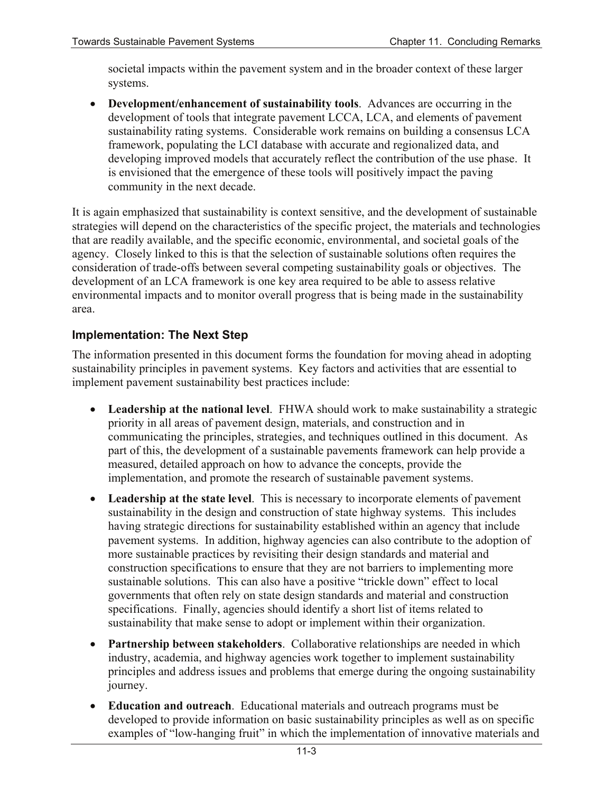societal impacts within the pavement system and in the broader context of these larger systems.

• **Development/enhancement of sustainability tools**. Advances are occurring in the development of tools that integrate pavement LCCA, LCA, and elements of pavement sustainability rating systems. Considerable work remains on building a consensus LCA framework, populating the LCI database with accurate and regionalized data, and developing improved models that accurately reflect the contribution of the use phase. It is envisioned that the emergence of these tools will positively impact the paving community in the next decade.

It is again emphasized that sustainability is context sensitive, and the development of sustainable strategies will depend on the characteristics of the specific project, the materials and technologies that are readily available, and the specific economic, environmental, and societal goals of the agency. Closely linked to this is that the selection of sustainable solutions often requires the consideration of trade-offs between several competing sustainability goals or objectives. The development of an LCA framework is one key area required to be able to assess relative environmental impacts and to monitor overall progress that is being made in the sustainability area.

## **Implementation: The Next Step**

The information presented in this document forms the foundation for moving ahead in adopting sustainability principles in pavement systems. Key factors and activities that are essential to implement pavement sustainability best practices include:

- **Leadership at the national level**. FHWA should work to make sustainability a strategic priority in all areas of pavement design, materials, and construction and in communicating the principles, strategies, and techniques outlined in this document. As part of this, the development of a sustainable pavements framework can help provide a measured, detailed approach on how to advance the concepts, provide the implementation, and promote the research of sustainable pavement systems.
- **Leadership at the state level**. This is necessary to incorporate elements of pavement sustainability in the design and construction of state highway systems. This includes having strategic directions for sustainability established within an agency that include pavement systems. In addition, highway agencies can also contribute to the adoption of more sustainable practices by revisiting their design standards and material and construction specifications to ensure that they are not barriers to implementing more sustainable solutions. This can also have a positive "trickle down" effect to local governments that often rely on state design standards and material and construction specifications. Finally, agencies should identify a short list of items related to sustainability that make sense to adopt or implement within their organization.
- **Partnership between stakeholders**. Collaborative relationships are needed in which industry, academia, and highway agencies work together to implement sustainability principles and address issues and problems that emerge during the ongoing sustainability journey.
- **Education and outreach**. Educational materials and outreach programs must be developed to provide information on basic sustainability principles as well as on specific examples of "low-hanging fruit" in which the implementation of innovative materials and